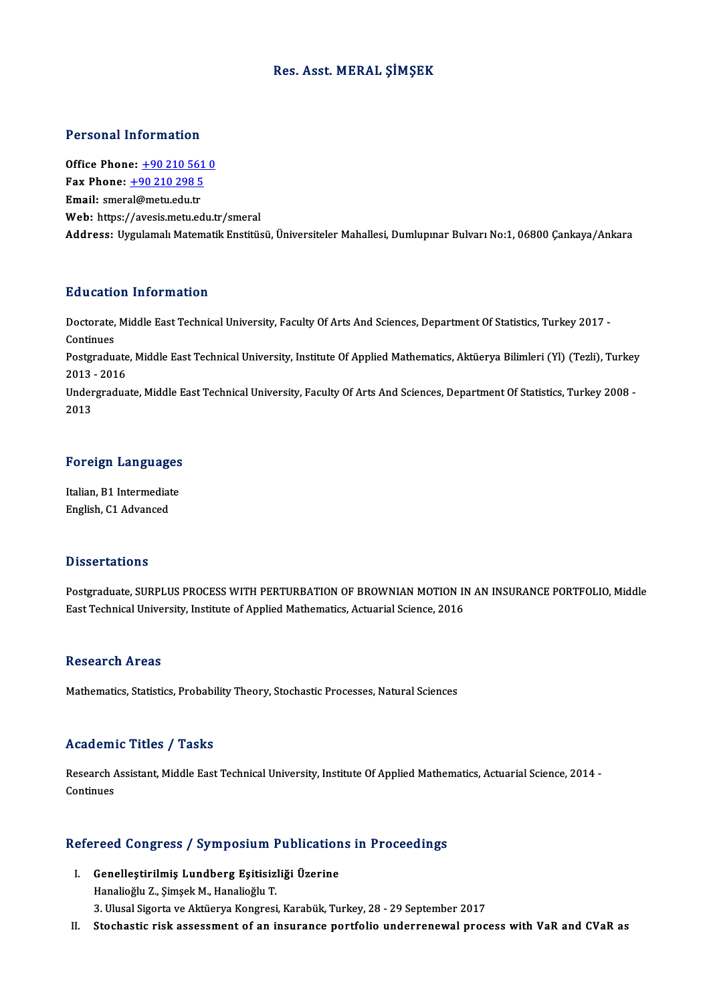## Res. Asst.MERAL ŞİMŞEK

# Personal Information

Personal Information<br>Office Phone: <u>+90 210 561 0</u><br>Fax Phone: 190 210 298 5 office Phone: <u>+90 210 561</u><br>Fax Phone: <u>+90 210 298 5</u><br>Fmail: cmorel@motu.edu.tr Office Phone: <u>+90 210 561</u><br>Fax Phone: <u>+90 210 298 5</u><br>Email: smer[al@metu.edu.tr](tel:+90 210 298 5) Fax Phone: <u>+90 210 298 5</u><br>Email: smeral@metu.edu.tr<br>Web: https://avesis.metu.edu.tr/smeral Address: Uygulamalı Matematik Enstitüsü, Üniversiteler Mahallesi, Dumlupınar Bulvarı No:1,06800 Çankaya/Ankara

# Education Information

**Education Information**<br>Doctorate, Middle East Technical University, Faculty Of Arts And Sciences, Department Of Statistics, Turkey 2017 -<br>Continues Doctorate,<br>Continues<br>Postaredu Doctorate, Middle East Technical University, Faculty Of Arts And Sciences, Department Of Statistics, Turkey 2017 -<br>Continues<br>Postgraduate, Middle East Technical University, Institute Of Applied Mathematics, Aktüerya Biliml Continues<br>Postgraduate<br>2013 - 2016<br>Undergradue Postgraduate, Middle East Technical University, Institute Of Applied Mathematics, Aktüerya Bilimleri (Yl) (Tezli), Turkey<br>2013 - 2016<br>Undergraduate, Middle East Technical University, Faculty Of Arts And Sciences, Departmen 2013 - 2016<br>Undergraduate, Middle East Technical University, Faculty Of Arts And Sciences, Department Of Statistics, Turkey 2008 -<br>2013

# <sub>2013</sub><br>Foreign Languages

For<mark>eign Languages</mark><br>Italian, B1 Intermediate<br>English C1 Advanced Italian, B1 Intermediate<br>English, C1 Advanced

### **Dissertations**

Dissertations<br>Postgraduate, SURPLUS PROCESS WITH PERTURBATION OF BROWNIAN MOTION IN AN INSURANCE PORTFOLIO, Middle<br>Fost Technical University, Institute of Annlied Mathematics, Astygriel Science, 2016 Basson tacroms<br>Postgraduate, SURPLUS PROCESS WITH PERTURBATION OF BROWNIAN MOTION II<br>East Technical University, Institute of Applied Mathematics, Actuarial Science, 2016 East Technical University, Institute of Applied Mathematics, Actuarial Science, 2016<br>Research Areas

Mathematics, Statistics, Probability Theory, Stochastic Processes, Natural Sciences

### Academic Titles / Tasks

A**cademic Titles / Tasks**<br>Research Assistant, Middle East Technical University, Institute Of Applied Mathematics, Actuarial Science, 2014 -<br>Continues Research A<br>Continues

# conunues<br>Refereed Congress / Symposium Publications in Proceedings

- efereed Congress / Symposium Publication<br>I. Genelleştirilmiş Lundberg Eşitisizliği Üzerine<br>Hanalioğlu 7. Simosli M. Hanalioğlu T I. Genelleştirilmiş Lundberg Eşitisizliği Üzerine<br>Hanalioğlu Z., Şimşek M., Hanalioğlu T. 3. Ulusal Sigorta ve Aktüerya Kongresi, Karabük, Turkey, 28 - 29 September 2017
- II. Stochastic risk assessment of an insurance portfolio underrenewal process with VaR and CVaR as